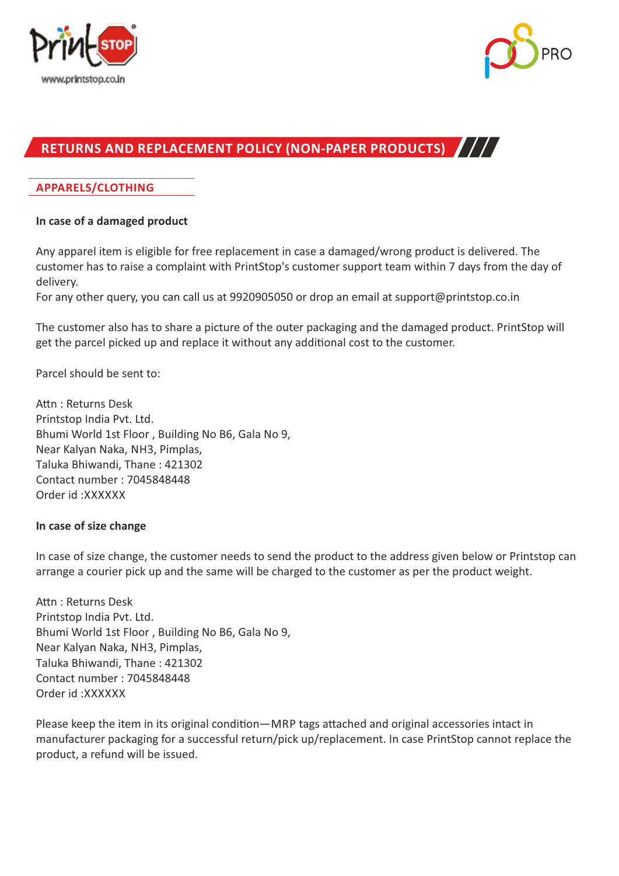



# **RETURNS AND REPLACEMENT POLICY (NON-PAPER PRODUCTS)**

## **APPARELS/CLOTHING**

#### **In case of a damaged product**

Any apparel item is eligible for free replacement in case a damaged/wrong product is delivered. The customer has to raise a complaint with PrintStop's customer support team within 7 days from the day of delivery.

For any other query, you can call us at 9920905050 or drop an email at support@printstop.co.in

The customer also has to share a picture of the outer packaging and the damaged product. PrintStop will get the parcel picked up and replace it without any additional cost to the customer.

Parcel should be sent to:

Attn: Returns Desk Printstop India Pvt. Ltd. Bhumi World 1st Floor , Building No B6, Gala No 9, Near Kalyan Naka, NH3, Pimplas, Taluka Bhiwandi, Thane : 421302 Contact number : 7045848448 Order id :XXXXXX

#### **In case of size change**

In case of size change, the customer needs to send the product to the address given below or Printstop can arrange a courier pick up and the same will be charged to the customer as per the product weight.

Attn: Returns Desk Printstop India Pvt. Ltd. Bhumi World 1st Floor , Building No B6, Gala No 9, Near Kalyan Naka, NH3, Pimplas, Taluka Bhiwandi, Thane : 421302 Contact number : 7045848448 Order id :XXXXXX

Please keep the item in its original condition—MRP tags attached and original accessories intact in manufacturer packaging for a successful return/pick up/replacement. In case PrintStop cannot replace the product, a refund will be issued.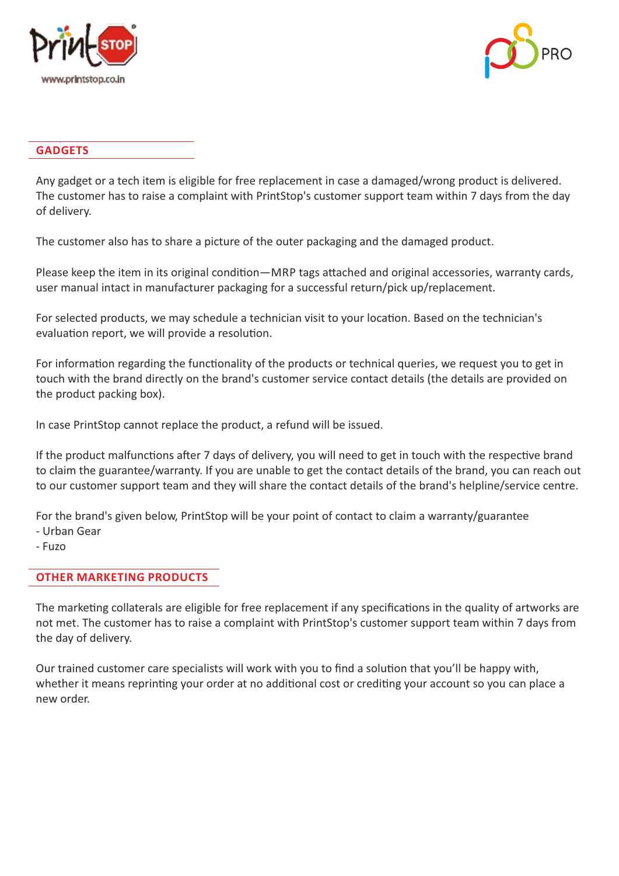



#### **GADGETS**

Any gadget or a tech item is eligible for free replacement in case a damaged/wrong product is delivered. The customer has to raise a complaint with PrintStop's customer support team within 7 days from the day of delivery.

The customer also has to share a picture of the outer packaging and the damaged product.

Please keep the item in its original condition—MRP tags attached and original accessories, warranty cards, user manual intact in manufacturer packaging for a successful return/pick up/replacement.

For selected products, we may schedule a technician visit to your location. Based on the technician's evaluation report, we will provide a resolution.

For information regarding the functionality of the products or technical queries, we request you to get in touch with the brand directly on the brand's customer service contact details (the details are provided on the product packing box).

In case PrintStop cannot replace the product, a refund will be issued.

If the product malfunctions after 7 days of delivery, you will need to get in touch with the respective brand to claim the guarantee/warranty. If you are unable to get the contact details of the brand, you can reach out to our customer support team and they will share the contact details of the brand's helpline/service centre.

For the brand's given below, PrintStop will be your point of contact to claim a warranty/guarantee

- Urban Gear
- Fuzo

# **OTHER MARKETING PRODUCTS**

The marketing collaterals are eligible for free replacement if any specifications in the quality of artworks are not met. The customer has to raise a complaint with PrintStop's customer support team within 7 days from the day of delivery.

Our trained customer care specialists will work with you to find a solution that you'll be happy with, whether it means reprinting your order at no additional cost or crediting your account so you can place a new order.